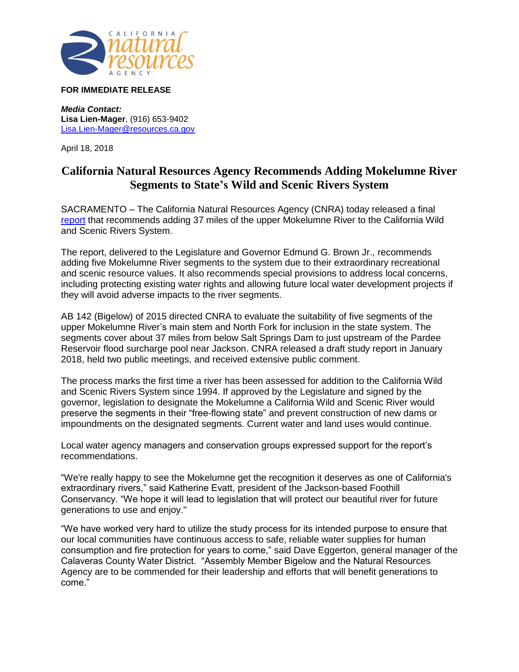

## **FOR IMMEDIATE RELEASE**

*Media Contact:* **Lisa Lien-Mager**, (916) 653-9402 [Lisa.Lien-Mager@resources.ca.gov](mailto:Lisa.Lien-Mager@resources.ca.gov)

April 18, 2018

## **California Natural Resources Agency Recommends Adding Mokelumne River Segments to State's Wild and Scenic Rivers System**

SACRAMENTO – The California Natural Resources Agency (CNRA) today released a final [report](http://resources.ca.gov/programs-projects/wildandscenic/) that recommends adding 37 miles of the upper Mokelumne River to the California Wild and Scenic Rivers System.

The report, delivered to the Legislature and Governor Edmund G. Brown Jr., recommends adding five Mokelumne River segments to the system due to their extraordinary recreational and scenic resource values. It also recommends special provisions to address local concerns, including protecting existing water rights and allowing future local water development projects if they will avoid adverse impacts to the river segments.

AB 142 (Bigelow) of 2015 directed CNRA to evaluate the suitability of five segments of the upper Mokelumne River's main stem and North Fork for inclusion in the state system. The segments cover about 37 miles from below Salt Springs Dam to just upstream of the Pardee Reservoir flood surcharge pool near Jackson. CNRA released a draft study report in January 2018, held two public meetings, and received extensive public comment.

The process marks the first time a river has been assessed for addition to the California Wild and Scenic Rivers System since 1994. If approved by the Legislature and signed by the governor, legislation to designate the Mokelumne a California Wild and Scenic River would preserve the segments in their "free-flowing state" and prevent construction of new dams or impoundments on the designated segments. Current water and land uses would continue.

Local water agency managers and conservation groups expressed support for the report's recommendations.

"We're really happy to see the Mokelumne get the recognition it deserves as one of California's extraordinary rivers," said Katherine Evatt, president of the Jackson-based Foothill Conservancy. "We hope it will lead to legislation that will protect our beautiful river for future generations to use and enjoy."

"We have worked very hard to utilize the study process for its intended purpose to ensure that our local communities have continuous access to safe, reliable water supplies for human consumption and fire protection for years to come," said Dave Eggerton, general manager of the Calaveras County Water District. "Assembly Member Bigelow and the Natural Resources Agency are to be commended for their leadership and efforts that will benefit generations to come."